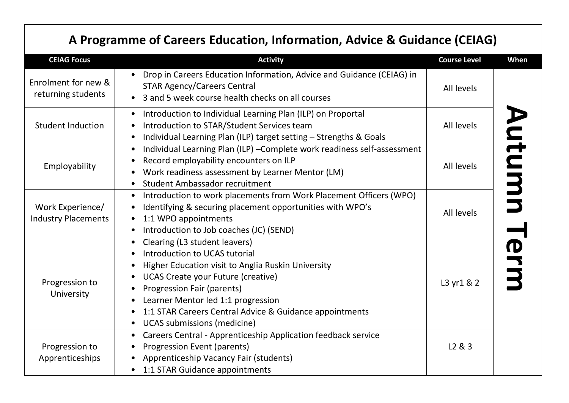# **A Programme of Careers Education, Information, Advice & Guidance (CEIAG)**

| <b>CEIAG Focus</b>                             | <b>Activity</b>                                                                                                                                                                                                                                                                                                                                            | <b>Course Level</b> | When |
|------------------------------------------------|------------------------------------------------------------------------------------------------------------------------------------------------------------------------------------------------------------------------------------------------------------------------------------------------------------------------------------------------------------|---------------------|------|
| Enrolment for new &<br>returning students      | Drop in Careers Education Information, Advice and Guidance (CEIAG) in<br><b>STAR Agency/Careers Central</b><br>3 and 5 week course health checks on all courses                                                                                                                                                                                            | All levels          |      |
| <b>Student Induction</b>                       | Introduction to Individual Learning Plan (ILP) on Proportal<br>Introduction to STAR/Student Services team<br>Individual Learning Plan (ILP) target setting - Strengths & Goals<br>$\bullet$                                                                                                                                                                | All levels          |      |
| Employability                                  | Individual Learning Plan (ILP) - Complete work readiness self-assessment<br>$\bullet$<br>Record employability encounters on ILP<br>Work readiness assessment by Learner Mentor (LM)<br>Student Ambassador recruitment                                                                                                                                      | All levels          | mtum |
| Work Experience/<br><b>Industry Placements</b> | Introduction to work placements from Work Placement Officers (WPO)<br>$\bullet$<br>Identifying & securing placement opportunities with WPO's<br>1:1 WPO appointments<br>Introduction to Job coaches (JC) (SEND)                                                                                                                                            | All levels          |      |
| Progression to<br>University                   | Clearing (L3 student leavers)<br>Introduction to UCAS tutorial<br>Higher Education visit to Anglia Ruskin University<br><b>UCAS Create your Future (creative)</b><br><b>Progression Fair (parents)</b><br>Learner Mentor led 1:1 progression<br>1:1 STAR Careers Central Advice & Guidance appointments<br><b>UCAS</b> submissions (medicine)<br>$\bullet$ | L3 yr1 & 2          | Ierm |
| Progression to<br>Apprenticeships              | Careers Central - Apprenticeship Application feedback service<br>$\bullet$<br>Progression Event (parents)<br>Apprenticeship Vacancy Fair (students)<br>1:1 STAR Guidance appointments                                                                                                                                                                      | L <sub>2</sub> & 3  |      |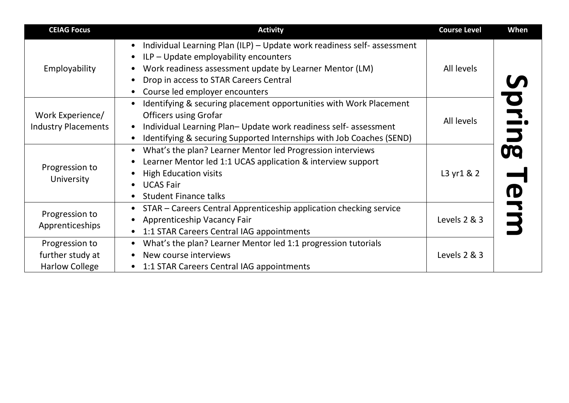| <b>CEIAG Focus</b>                                          | <b>Activity</b>                                                                                                                                                                                                                                         | <b>Course Level</b> | When       |
|-------------------------------------------------------------|---------------------------------------------------------------------------------------------------------------------------------------------------------------------------------------------------------------------------------------------------------|---------------------|------------|
| Employability                                               | Individual Learning Plan (ILP) - Update work readiness self- assessment<br>ILP - Update employability encounters<br>Work readiness assessment update by Learner Mentor (LM)<br>Drop in access to STAR Careers Central<br>Course led employer encounters | All levels          |            |
| Work Experience/<br><b>Industry Placements</b>              | Identifying & securing placement opportunities with Work Placement<br><b>Officers using Grofar</b><br>Individual Learning Plan-Update work readiness self-assessment<br>Identifying & securing Supported Internships with Job Coaches (SEND)            | All levels          | <b>DE.</b> |
| Progression to<br>University                                | What's the plan? Learner Mentor led Progression interviews<br>Learner Mentor led 1:1 UCAS application & interview support<br><b>High Education visits</b><br><b>UCAS Fair</b><br><b>Student Finance talks</b>                                           | L3 yr1 & 2          | <b>OO</b>  |
| Progression to<br>Apprenticeships                           | STAR - Careers Central Apprenticeship application checking service<br>Apprenticeship Vacancy Fair<br>1:1 STAR Careers Central IAG appointments                                                                                                          | Levels 2 & 3        |            |
| Progression to<br>further study at<br><b>Harlow College</b> | What's the plan? Learner Mentor led 1:1 progression tutorials<br>New course interviews<br>1:1 STAR Careers Central IAG appointments                                                                                                                     | Levels 2 & 3        |            |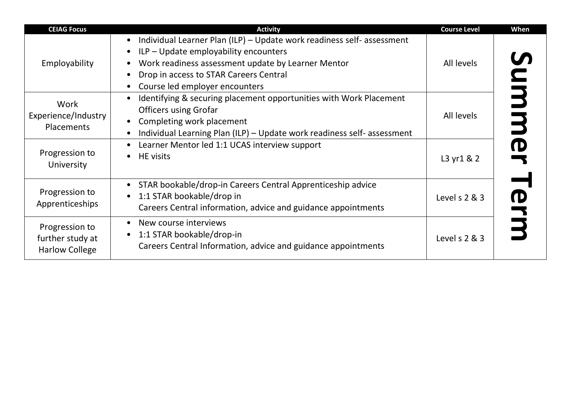| <b>CEIAG Focus</b>                                          | <b>Activity</b>                                                                                                                                                                                                                                               | <b>Course Level</b> | When               |
|-------------------------------------------------------------|---------------------------------------------------------------------------------------------------------------------------------------------------------------------------------------------------------------------------------------------------------------|---------------------|--------------------|
| Employability                                               | • Individual Learner Plan (ILP) - Update work readiness self- assessment<br>$\bullet$ ILP – Update employability encounters<br>Work readiness assessment update by Learner Mentor<br>Drop in access to STAR Careers Central<br>Course led employer encounters | All levels          | $\bar{\mathbf{C}}$ |
| Work<br>Experience/Industry<br>Placements                   | Identifying & securing placement opportunities with Work Placement<br><b>Officers using Grofar</b><br>Completing work placement<br>Individual Learning Plan (ILP) - Update work readiness self-assessment                                                     | All levels          | 3                  |
| Progression to<br>University                                | Learner Mentor led 1:1 UCAS interview support<br>$\bullet$<br><b>HE</b> visits<br>$\bullet$                                                                                                                                                                   | L3 yr1 & 2          |                    |
| Progression to<br>Apprenticeships                           | STAR bookable/drop-in Careers Central Apprenticeship advice<br>1:1 STAR bookable/drop in<br>Careers Central information, advice and guidance appointments                                                                                                     | Level s 2 & 3       |                    |
| Progression to<br>further study at<br><b>Harlow College</b> | • New course interviews<br>1:1 STAR bookable/drop-in<br>Careers Central Information, advice and guidance appointments                                                                                                                                         | Level s 2 & 3       |                    |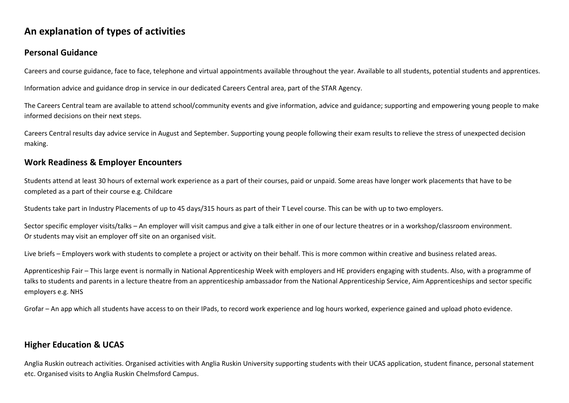## **An explanation of types of activities**

#### **Personal Guidance**

Careers and course guidance, face to face, telephone and virtual appointments available throughout the year. Available to all students, potential students and apprentices.

Information advice and guidance drop in service in our dedicated Careers Central area, part of the STAR Agency.

The Careers Central team are available to attend school/community events and give information, advice and guidance; supporting and empowering young people to make informed decisions on their next steps.

Careers Central results day advice service in August and September. Supporting young people following their exam results to relieve the stress of unexpected decision making.

#### **Work Readiness & Employer Encounters**

Students attend at least 30 hours of external work experience as a part of their courses, paid or unpaid. Some areas have longer work placements that have to be completed as a part of their course e.g. Childcare

Students take part in Industry Placements of up to 45 days/315 hours as part of their T Level course. This can be with up to two employers.

Sector specific employer visits/talks – An employer will visit campus and give a talk either in one of our lecture theatres or in a workshop/classroom environment. Or students may visit an employer off site on an organised visit.

Live briefs – Employers work with students to complete a project or activity on their behalf. This is more common within creative and business related areas.

Apprenticeship Fair – This large event is normally in National Apprenticeship Week with employers and HE providers engaging with students. Also, with a programme of talks to students and parents in a lecture theatre from an apprenticeship ambassador from the National Apprenticeship Service, Aim Apprenticeships and sector specific employers e.g. NHS

Grofar – An app which all students have access to on their IPads, to record work experience and log hours worked, experience gained and upload photo evidence.

### **Higher Education & UCAS**

Anglia Ruskin outreach activities. Organised activities with Anglia Ruskin University supporting students with their UCAS application, student finance, personal statement etc. Organised visits to Anglia Ruskin Chelmsford Campus.